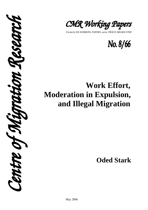

*Formerly ISS WORKING PAPERS, seria: PRACE MIGRACYJNE* 



# **Work Effort, Moderation in Expulsion, and Illegal Migration**

**Oded Stark** 

 CSCAT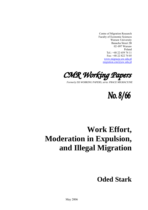Centre of Migration Research Faculty of Economic Sciences Warsaw University Banacha Street 2B 02–097 Warsaw Poland Tel.: +48 22 659 74 11 Fax: +48 22 822 74 05 www.migracje.uw.edu.pl migration.cmr@uw.edu.pl



*Formerly ISS WORKING PAPERS, seria: PRACE MIGRACYJNE* 

No. 8/66

# **Work Effort, Moderation in Expulsion, and Illegal Migration**

# **Oded Stark**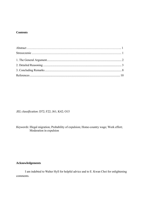### **Contents**

*JEL classification*: D72; F22; J61; K42; O15

*Keywords*: Illegal migration; Probability of expulsion; Home-country wage; Work effort; Moderation in expulsion

## **Acknowledgements**

I am indebted to Walter Hyll for helpful advice and to E. Kwan Choi for enlightening comments.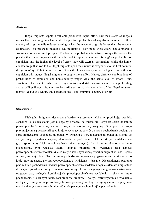#### **Abstract**

Illegal migrants supply a valuable productive input: effort. But their status as illegals means that these migrants face a strictly positive probability of expulsion. A return to their country of origin entails reduced earnings when the wage at origin is lower than the wage at destination. This prospect induces illegal migrants to exert more work effort than comparable workers who face no such prospect. The lower the probable, alternative earnings, the harsher the penalty that illegal migrants will be subjected to upon their return, for a *given* probability of expulsion, and the higher the level of effort they will exert at destination. While the homecountry wage that awaits the illegal migrants upon their return is exogenous to the host country, the *probability* of their return is not. Given the home-country wage, a higher probability of expulsion will induce illegal migrants to supply more effort. Hence, different combinations of probabilities of expulsion and home-country wages yield the same level of effort. Thus, variation in the extent to which receiving countries undertake measures aimed at apprehending and expelling illegal migrants can be attributed not to characteristics of the illegal migrants themselves but to a feature that pertains to the illegal migrants' country of origin.

#### **Streszczenie**

Nielegalni imigranci dostarczają bardzo wartościowy wkład w produkcję: wysiłek. Jednakże to, że ich status jest nielegalny oznacza, że muszą się liczyć ze ściśle dodatnim prawdopodobieństwem wydalenia z kraju, w którym się znajdują. Gdy płace w kraju przyjmującym są wyższe niż te w kraju wysyłającym, powrót do kraju pochodzenia pociąga za sobą zmniejszenie dochodów migranta. W związku z tym, nielegalni migranci są skłonni do zwiększonego wysiłku i większej staranności w porównaniu z takimi, którym wydalenie nie grozi (przy wszystkich innych cechach takich samych). Im niższe są dochody w kraju pochodzenia, tym większa "kara" spotyka migranta po wydaleniu (dla danego prawdopodobieństwa wydalenia), a co za tym idzie, tym więcej wysiłku migrant wkładał będzie w pracę na wyjeździe. Płace w kraju pochodzenia migranta są egzogeniczne w stosunku do kraju przyjmującego, ale prawdopodobieństwo wydalenia -- już nie. Dla ustalonego poziomu płac w kraju pochodzenia, wyższe prawdopodobieństwo wydalenia będzie skłaniało imigrantów do większego wkładu pracy. Ten sam poziom wysiłku u nielegalnych migrantów można więc osiągnąć przy różnych kombinacjach prawdopodobieństwa wydalenia i płacy w kraju pochodzenia. Co za tym idzie, różnorodność środków i polityk zatrzymywania i wydalania nielegalnych migrantów prowadzonych przez poszczególne kraje przyjmujące można przypisać nie charakterystykom samych migrantów, ale pewnym cechom krajów pochodzenia.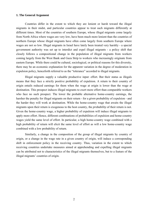#### **1. The General Argument**

Countries differ in the extent to which they are lenient or harsh toward the illegal migrants in their midst, and particular countries appear to treat such migrants differently at different times. Most of the countries of southern Europe, whose illegal migrants come largely from North Africa where wages are very low, have been much more lenient than the countries of northern Europe whose illegal migrants have often come largely from southern Europe where wages are not so low. Illegal migrants in Israel have lately been treated very harshly - a special government authority was set up to interdict and expel illegal migrants - a policy shift that closely follows a compositional change in the population of illegal migrants from workers coming largely from the West Bank and Gaza Strip to workers who increasingly originate from eastern Europe. While there could be cultural, sociological, or political reasons for this diversity, there may be an economic explanation for the apparent variation in the degree of moderation in expulsion policy, henceforth referred to as the "tolerance" accorded to illegal migrants.

Illegal migrants supply a valuable productive input: effort. But their status as illegals means that they face a strictly positive probability of expulsion. A return to their country of origin entails reduced earnings for them when the wage at origin is lower than the wage at destination. This prospect induces illegal migrants to exert more effort than comparable workers who face no such prospect. The lower the probable alternative home-country earnings, the harsher the penalty for illegal migrants on their return - for a *given* probability of expulsion - and the harder they will work at destination. While the home-country wage that awaits the illegal migrants upon their return is exogenous to the host country, the *probability* of their return is not. Given the home-country wage, a higher probability of expulsion will induce illegal migrants to apply more effort. Hence, different combinations of probabilities of expulsion and home-country wages yield the same level of effort. In particular, a high home-country wage combined with a high probability of return will elicit the same level of effort as will a low home-country wage combined with a low probability of return.

Similarly, a change in the composition of the group of illegal migrants by country of origin, or a change in the wage rate in a given country of origin, will induce a corresponding shift in enforcement policy in the receiving country. Thus, variation in the extent to which receiving countries undertake measures aimed at apprehending and expelling illegal migrants can be attributed not to characteristics of the illegal migrants themselves, but to a feature of the illegal migrants' countries of origin.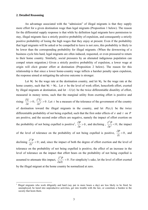#### **2. Detailed Reasoning**

1

An advantage associated with the "admission" of illegal migrants is that they supply more effort for a given destination wage than legal migrants (Proposition 1 below). The reason for the differential supply response is that while by definition legal migrants have permission to stay, illegal migrants face a strictly positive probability of expulsion, and consequently a strictly positive probability of losing the high wages that they enjoy at present. Even if the probability that legal migrants will be asked or be compelled to leave is not zero, this probability is likely to be lower than the corresponding probability for illegal migrants. (When the downswing of a business cycle hits hard, legal migrants are often induced, requested, or even pressured to return to their home country. Similarly, social pressures by an alienated indigenous population can compel return migration.) Given a strictly positive probability of expulsion, a lower wage at origin will elicit greater effort at destination (Proposition 2 below). The reason for this relationship is that since a lower home-country wage inflicts a harsher penalty upon expulsion, the response aimed at mitigating the adverse outcome is stronger.

Let  $W_F$  be the wage rate at the destination country, and let  $W_H$  be the wage rate at the home country, such that  $W_F > W_H$ . Let *e* be the level of work effort, henceforth effort, exerted by illegal migrants at destination, and let −*U*(*e*) be the twice differentiable disutility of effort, measured in money terms, such that the marginal utility from exerting effort is positive and rising:  $\frac{00}{2} > 0$ ∂ ∂ *e*  $\frac{U}{2a} > 0$ ;  $\frac{\partial^2 U}{\partial a^2} > 0$ 2 > ∂ ∂ *e*  $\frac{U}{I} > 0$ . Let *t* be a measure of the tolerance of the government of the country of destination toward the illegal migrants in the country, and let  $P(e,t)$  be the twice differentiable probability of *not* being expelled, such that the first order effects of *e* and *t* on *P* are positive, and the second order effects are negative, namely the impact of effort exertion on the probability of not being expelled is positive<sup>1</sup>,  $\frac{or}{\epsilon} > 0$ ∂ ∂  $\frac{\partial^2 P}{\partial e^2} > 0$ , and declining,  $\frac{\partial^2 P}{\partial e^2} < 0$  $\overline{\phantom{a}}$ ∂ ∂ *e*  $\frac{P}{2}$  < 0; the impact of the level of tolerance on the probability of not being expelled is positive,  $\frac{0.2}{0.000} > 0$ ∂ ∂ *t*  $\frac{p}{p} > 0$ , and declining  $\frac{0.1}{\lambda^{2}} < 0$ 2  $\prec$ ∂ ∂ *t*  $\frac{p}{2}$  < 0; and, since the impact of both the degree of effort exertion and the level of tolerance on the probability of not being expelled is positive, the effect of an increase in the level of tolerance on the impact that effort bears on the probability of not being expelled is assumed to attenuate this impact,  $\frac{0.1}{2.2} < 0$ 2  $\prec$ ∂ ∂ ∂ *e t*  $\frac{P}{\sqrt{P}}$  < 0. For simplicity's sake, let the level of effort exerted by the illegal migrant at the home country be normalized at zero.

<sup>1</sup> Illegal migrants who work diligently and hard (say put in more hours a day) are less likely to be fired, be unemployed, be lured into unproductive activities, get into trouble with the law, or constitute a burden to the society that hosts them.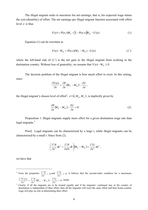The illegal migrant seeks to maximize his net earnings, that is, his expected wage minus the cost (disutility) of effort. The net earnings per illegal migrant function associated with effort level *e* is thus

$$
V(e) = P(e,t)W_F + [1 - P(e,t)]W_H - U(e).
$$
 (1)

Equation (1) can be rewritten as

$$
V(e) - W_{H} = P(e, t)(W_{F} - W_{H}) - U(e)
$$
\n(1')

where the left-hand side of (1') is the net gain to the illegal migrant from working in the destination country. Without loss of generality, we assume that  $V(e) - W<sub>H</sub> \ge 0$ .

The decision problem of the illegal migrant is how much effort to exert. In this setting, since

$$
\frac{\partial V(e)}{\partial e} = \frac{\partial P}{\partial e} (W_F - W_H) - \frac{\partial U}{\partial e},
$$

the illegal migrant's chosen level of effort<sup>2</sup>,  $e*(t, W_H, W_F)$ , is implicitly given by

$$
\frac{\partial P}{\partial e}(W_F - W_H) - \frac{\partial U}{\partial e} = 0.
$$
 (2)

Proposition 1. Illegal migrants supply more effort for a given destination wage rate than legal migrants. $3$ 

Proof. Legal migrants can be characterized by a large t, while illegal migrants can be characterized by a small t. Since from (2),

$$
\left(\frac{\partial^2 P}{\partial e^2}de^* + \frac{\partial^2 P}{\partial e \partial t}dt\right)(W_F - W_H) = \frac{\partial^2 U}{\partial e^2}de^*,
$$

we have that

1

<sup>2</sup> From the properties  $\frac{\partial^2 P}{\partial e^2} < 0$ ∂  $\frac{e^2 P}{e^2}$  < 0 and  $\frac{\partial^2 U}{\partial e^2}$  > 0 ∂ *e*  $\frac{U}{I} > 0$  it follows that the second-order condition for a maximum,

$$
\frac{\partial^2 V(e)}{\partial e^2} = \frac{\partial^2 P}{\partial e^2} (W_F - W_H) - \frac{\partial^2 U}{\partial e^2} < 0
$$
, holds.

<sup>&</sup>lt;sup>3</sup> Clearly, if all the migrants are to be treated equally and if the migrants' continued stay in the country of destination is independent of their effort, then all the migrants will exert the same effort and their home-country wage will play no role in determining their effort.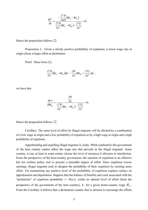$$
\frac{de^*}{dt} = \frac{-\frac{\partial^2 P}{\partial e \partial t}(W_F - W_H)}{\frac{\partial^2 P}{\partial e^2}(W_F - W_H) - \frac{\partial^2 U}{\partial e^2}} < 0.
$$

Hence the proposition follows.  $\Box$ 

Proposition 2. Given a strictly positive probability of expulsion, a lower wage rate at origin elicits a larger effort at destination.

Proof. Since from (2),

$$
\frac{\partial^2 P}{\partial e^2} (W_F - W_H) de^* - \frac{\partial P}{\partial e} dW_H = \frac{\partial^2 U}{\partial e^2} de^*,
$$

we have that

$$
\frac{de*}{dW_H} = \frac{\frac{\partial P}{\partial e}}{\frac{\partial^2 P}{\partial e^2} (W_F - W_H) - \frac{\partial^2 U}{\partial e^2}} < 0.
$$

Hence the proposition follows.  $\Box$ 

Corollary. The same level of effort by illegal migrants will be elicited by a combination of a low wage at origin and a low probability of expulsion as by a high wage at origin and a high probability of expulsion.

Apprehending and expelling illegal migrants is costly. While (ordinarily) the government of the host country cannot affect the wage rate that prevails in the illegal migrants' home country, it can, at least to some extent, choose the level of resources it allocates to interdiction. From the perspective of the host-country government, the sanction of expulsion is an effective but not costless policy tool to procure a desirable degree of effort. Since expulsion lowers earnings, illegal migrants seek to dampen the probability of their expulsion by exerting more effort. Yet maintaining any positive level of the probability of expulsion requires outlays on apprehension and deportation. Suppose that the balance of benefits and costs associated with the "production" of expulsion probability 1− *P*(*e*,*t*) yields an optimal level of effort (from the perspective of the government of the host country),  $\tilde{e}$ , for a given home-country wage  $\tilde{W}_{H}$ . From the Corollary it follows that a destination country that is anxious to encourage the efforts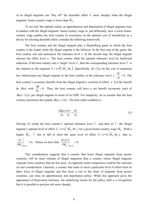of its illegal migrants can "buy off" the desirable effort  $\tilde{e}$  more cheaply when the illegal migrants' home-country wage is lower than  $\widetilde{W}_H$ .

To see how the optimal outlay on apprehension and deportation of illegal migrants rises in tandem with the illegal migrants' home-country wage or, put differently, how a lower homecountry wage enables the host country to economize on the optimal cost of interdiction as a device for eliciting desirable effort, consider the following framework.

The host country and the illegal migrant play a Stackelberg game in which the host country is the leader while the illegal migrant is the follower. In the first step of the game, the host country sets and announces the tolerance level  $t$ . In the second step, the illegal migrant chooses the effort level *e*. The host country finds the optimal tolerance level by backward induction. If the host country sets a "target" level  $\tilde{e}$ , then the corresponding tolerance level  $\tilde{t}$  is the solution to the equation  $\tilde{e} = e * (\tilde{t}, \tilde{W}_H, W_F)$ . Specifically, let  $C(t)$  be the cost of migration law enforcement per illegal migrant in the host country at the tolerance level *t*,  $\frac{\partial C}{\partial t}$  < 0. *t*  $\frac{C}{2}$  < 0. The host country's economy benefits from the illegal migrant's exertion of effort, *e*. Let the benefit be  $B(e)$  with  $\frac{6B}{2} > 0$ ∂ ∂ *e*  $\frac{B}{B} > 0$ . Thus, the host country will have a net benefit (economic rent) of *B*( $e$ ) − *C*( $t$ ) per illegal migrant in terms of its GDP. For simplicity, let us assume that the host country maximizes the surplus  $B(e) - C(t)$ . The first-order condition is

$$
\frac{\partial B(e)}{\partial e} \frac{\partial e^*}{\partial t} = \frac{\partial C}{\partial t}.
$$
 (3)

Solving (3) yields the host country's optimal tolerance level  $\tilde{t}$ ; and then at  $\tilde{t}$ , the illegal migrant's optimal level of effort  $\tilde{e} = e * (\tilde{t}, \tilde{W}_H, W_F)$  for a given home-country wage  $\tilde{W}_H$ . With a higher  $\widetilde{W}_H$ ,  $\widetilde{t}$  has to fall to elicit the same level of effort  $\widetilde{e} = e^*(\widetilde{t}, \widetilde{W}_H, W_F)$ , that is,  $\frac{d}{\widetilde{V}}$  < 0.  $\widetilde{\cdot}$  $\widetilde{e} = 0$  $\lt$ ∂ ∂  $\left. W_H \right|_{d\widetilde{e} } =$  $\left| \frac{\widetilde{t}}{\widetilde{v}} \right|$  < 0. Hence we have that  $\left| \frac{\partial C(\widetilde{t})}{\partial \widetilde{v}} \right|$  > 0.  $\widetilde{e}=0$ > ∂ ∂  $\left\|W_H^-\right\|_{d\widetilde{e}} =$  $C(\hat{t})$ 

This consideration suggests that a country that hosts illegal migrants from poorer countries will be more tolerant of illegal migration than a country whose illegal migrants originate from countries that are less poor. An apparent warm compassion could be the outcome of cool consideration. Likewise, a country that seeks to elicit a particular level of effort from its labor force of illegal migrants and that faces a rise in the share of migrants from poorer countries, can relax its apprehension and deportation policy. While this approach gives the appearance of benevolent tolerance, the underlying reason for the policy shift is a recognition that it is possible to procure toil more cheaply.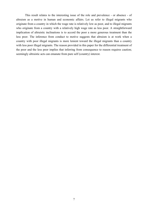This result relates to the interesting issue of the role and prevalence - or absence - of altruism as a motive in human and economic affairs. Let us refer to illegal migrants who originate from a country in which the wage rate is relatively low as poor, and to illegal migrants who originate from a country with a relatively high wage rate as less poor. A straightforward implication of altruistic inclinations is to accord the poor a more generous treatment than the less poor. The inference from conduct to motive suggests that altruism is at work when a country with poor illegal migrants is more lenient toward the illegal migrants than a country with less poor illegal migrants. The reason provided in this paper for the differential treatment of the poor and the less poor implies that inferring from consequence to reason requires caution; seemingly altruistic acts can emanate from pure self (country) interest.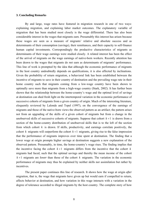#### **3. Concluding Remarks**

By and large, wage rates have featured in migration research in one of two ways: explaining migration, and explaining labor market outcomes. The explanatory variable of migration that has been studied most closely is the wage differential. There has also been considerable interest in the wages that migrants earn. Presumably this interest has arisen because these wages are seen as a measure of migrants' relative and absolute success and as determinants of their consumption (savings), their remittances, and their capacity to self-finance human capital investments. Correspondingly the productive characteristics of migrants as determinants of their wage earnings were studied closely. A related interest has been the effect of the arrival of migrants on the wage earnings of native-born workers. Recently attention has been drawn to the wages that migrants do *not* earn as determinants of migrants' performance. This line of work is prompted by the idea that although the economic performance of migrants in the host country undoubtedly depends on qualifications, it is also affected by inclinations. Given the probability of return migration, a behavioral link has been established between the incentive of migrants to save in their country of destination and the prevailing wage rate in their home country such that migrants coming from a low-wage country have been shown to optimally save more than migrants from a high-wage country (Stark, 2002). It has further been shown that the relationship between the home-country's wage and the optimal level of savings at destination can shed fresh light on the intertemporal variation in the economic performance of successive cohorts of migrants from a given country of origin. Much of the interesting literature, eloquently reviewed by Lalonde and Topel (1997), on the convergence of the earnings of migrants and those of the native-born views the observed pattern as an artifact; the pattern arises not from an upgrading of the skills of a given cohort of migrants but from a change in the unobserved skills of successive cohorts of migrants. Suppose that cohort  $k+1$  is drawn from a section of the home-country distribution of unobserved skills that is to the left of the section from which cohort *k* is drawn. If skills, productivity, and earnings correlate positively, the cohort *k* migrants will outperform the cohort  $k+1$  migrants, giving rise to the false impression that the performance of migrants improves over time spent at destination. The finding that a lower wage at origin prompts higher savings at destination suggests a new explanation of the observed pattern. Presumably, in time, the home-country's wage rises. The finding implies that the incentive facing the cohort  $k+1$  migrants differs from the incentive that the cohort  $k$ migrants had faced, such that the optimal savings and thereby the mean income of the cohort  $k+1$  migrants are *lower* than those of the cohort  $k$  migrants. The variation in the economic performance of migrants may thus be explained by neither skills nor assimilation but rather by incentives.

The present paper continues this line of research. It shows how the wage at origin *after* migration, that is, the wage that migrants have given up but would earn if compelled to return, affects behavior at destination, and how variation in this wage interacts with a variation in the degree of tolerance accorded to illegal migrants by the host country. The complete story of how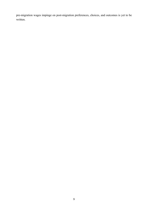pre-migration wages impinge on post-migration preferences, choices, and outcomes is yet to be written.